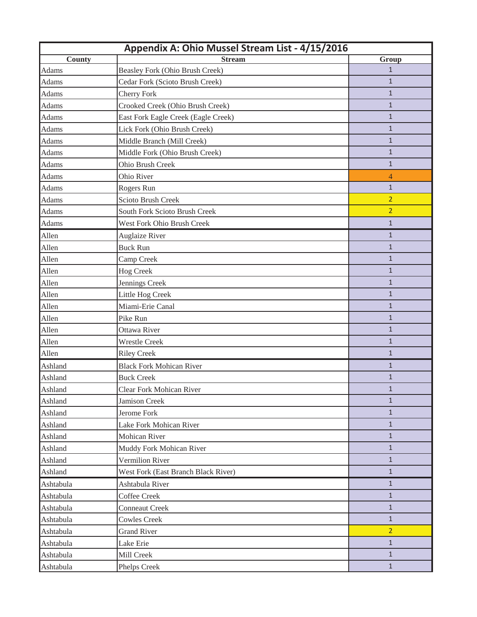|              | Appendix A: Ohio Mussel Stream List - 4/15/2016 |                |
|--------------|-------------------------------------------------|----------------|
| County       | <b>Stream</b>                                   | Group          |
| Adams        | Beasley Fork (Ohio Brush Creek)                 | $\mathbf{1}$   |
| Adams        | Cedar Fork (Scioto Brush Creek)                 | $\mathbf{1}$   |
| <b>Adams</b> | <b>Cherry Fork</b>                              | $\mathbf{1}$   |
| Adams        | Crooked Creek (Ohio Brush Creek)                | $\mathbf{1}$   |
| Adams        | East Fork Eagle Creek (Eagle Creek)             | $\mathbf{1}$   |
| Adams        | Lick Fork (Ohio Brush Creek)                    | $\mathbf{1}$   |
| <b>Adams</b> | Middle Branch (Mill Creek)                      | $\mathbf{1}$   |
| Adams        | Middle Fork (Ohio Brush Creek)                  | $\mathbf{1}$   |
| <b>Adams</b> | Ohio Brush Creek                                | $\mathbf{1}$   |
| <b>Adams</b> | Ohio River                                      | $\overline{4}$ |
| <b>Adams</b> | Rogers Run                                      | $\mathbf{1}$   |
| Adams        | Scioto Brush Creek                              | $\overline{2}$ |
| <b>Adams</b> | South Fork Scioto Brush Creek                   | $\overline{2}$ |
| Adams        | West Fork Ohio Brush Creek                      | $\mathbf{1}$   |
| Allen        | <b>Auglaize River</b>                           | $\mathbf{1}$   |
| Allen        | <b>Buck Run</b>                                 | $\mathbf{1}$   |
| Allen        | Camp Creek                                      | $\mathbf{1}$   |
| Allen        | <b>Hog Creek</b>                                | $\mathbf{1}$   |
| Allen        | Jennings Creek                                  | $\mathbf{1}$   |
| Allen        | Little Hog Creek                                | $\mathbf{1}$   |
| Allen        | Miami-Erie Canal                                | $\mathbf{1}$   |
| Allen        | Pike Run                                        | $\mathbf{1}$   |
| Allen        | Ottawa River                                    | $\mathbf{1}$   |
| Allen        | <b>Wrestle Creek</b>                            | $\mathbf{1}$   |
| Allen        | <b>Riley Creek</b>                              | $\mathbf{1}$   |
| Ashland      | <b>Black Fork Mohican River</b>                 | $\mathbf{1}$   |
| Ashland      | <b>Buck Creek</b>                               | $\mathbf{1}$   |
| Ashland      | Clear Fork Mohican River                        | $\mathbf{1}$   |
| Ashland      | <b>Jamison Creek</b>                            | $\mathbf{1}$   |
| Ashland      | Jerome Fork                                     | $\mathbf{1}$   |
| Ashland      | Lake Fork Mohican River                         | $\mathbf{1}$   |
| Ashland      | Mohican River                                   | $\mathbf{1}$   |
| Ashland      | Muddy Fork Mohican River                        | $\mathbf{1}$   |
| Ashland      | Vermilion River                                 | $\mathbf{1}$   |
| Ashland      | West Fork (East Branch Black River)             | $1\,$          |
| Ashtabula    | Ashtabula River                                 | $\mathbf{1}$   |
| Ashtabula    | <b>Coffee Creek</b>                             | $\mathbf{1}$   |
| Ashtabula    | <b>Conneaut Creek</b>                           | $\mathbf{1}$   |
| Ashtabula    | <b>Cowles Creek</b>                             | $\mathbf{1}$   |
| Ashtabula    | <b>Grand River</b>                              | $\overline{2}$ |
| Ashtabula    | Lake Erie                                       | $\mathbf{1}$   |
| Ashtabula    | Mill Creek                                      | $\mathbf{1}$   |
| Ashtabula    | Phelps Creek                                    | $\mathbf{1}$   |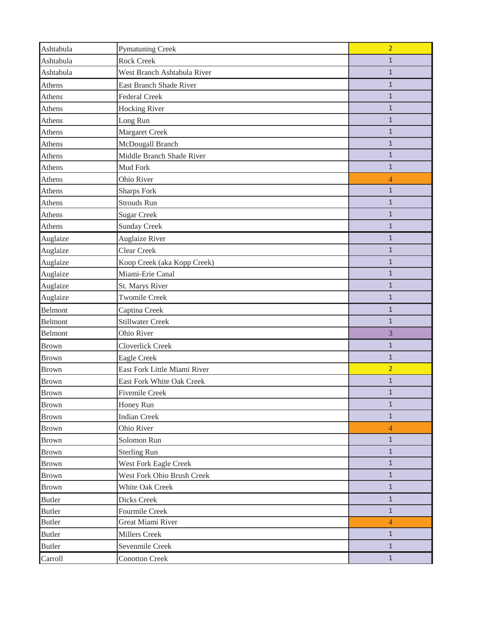| Ashtabula      | <b>Pymatuning Creek</b>        | $\overline{2}$ |
|----------------|--------------------------------|----------------|
| Ashtabula      | <b>Rock Creek</b>              | $\mathbf{1}$   |
| Ashtabula      | West Branch Ashtabula River    | $\mathbf{1}$   |
| Athens         | <b>East Branch Shade River</b> | $\mathbf{1}$   |
| Athens         | <b>Federal Creek</b>           | $\mathbf{1}$   |
| Athens         | <b>Hocking River</b>           | $\mathbf{1}$   |
| Athens         | Long Run                       | $\mathbf{1}$   |
| Athens         | <b>Margaret Creek</b>          | $\mathbf{1}$   |
| Athens         | McDougall Branch               | $\mathbf{1}$   |
| Athens         | Middle Branch Shade River      | $\mathbf{1}$   |
| Athens         | Mud Fork                       | $\mathbf{1}$   |
| Athens         | Ohio River                     | $\overline{4}$ |
| Athens         | <b>Sharps Fork</b>             | $\mathbf{1}$   |
| Athens         | Strouds Run                    | $\mathbf{1}$   |
| Athens         | <b>Sugar Creek</b>             | $\mathbf{1}$   |
| Athens         | <b>Sunday Creek</b>            | $\mathbf{1}$   |
| Auglaize       | <b>Auglaize River</b>          | $\mathbf{1}$   |
| Auglaize       | Clear Creek                    | $\mathbf{1}$   |
| Auglaize       | Koop Creek (aka Kopp Creek)    | $\mathbf{1}$   |
| Auglaize       | Miami-Erie Canal               | $\mathbf{1}$   |
| Auglaize       | St. Marys River                | $\mathbf{1}$   |
| Auglaize       | <b>Twomile Creek</b>           | $\mathbf{1}$   |
| <b>Belmont</b> | Captina Creek                  | $\mathbf{1}$   |
| Belmont        | <b>Stillwater Creek</b>        | $\mathbf{1}$   |
| Belmont        | Ohio River                     | 3              |
| <b>Brown</b>   | <b>Cloverlick Creek</b>        | $\mathbf{1}$   |
| <b>Brown</b>   | Eagle Creek                    | $\mathbf{1}$   |
| <b>Brown</b>   | East Fork Little Miami River   | $\overline{2}$ |
| <b>Brown</b>   | East Fork White Oak Creek      | $\mathbf{1}$   |
| Brown          | Fivemile Creek                 | $\mathbf{1}$   |
| <b>Brown</b>   | Honey Run                      | $\mathbf{1}$   |
| <b>Brown</b>   | <b>Indian Creek</b>            | $1\,$          |
| <b>Brown</b>   | Ohio River                     | $\overline{4}$ |
| <b>Brown</b>   | Solomon Run                    | $\mathbf{1}$   |
| <b>Brown</b>   | <b>Sterling Run</b>            | $\mathbf{1}$   |
| <b>Brown</b>   | West Fork Eagle Creek          | $\mathbf{1}$   |
| <b>Brown</b>   | West Fork Ohio Brush Creek     | $\mathbf{1}$   |
| <b>Brown</b>   | White Oak Creek                | $\mathbf{1}$   |
| <b>Butler</b>  | Dicks Creek                    | $\mathbf{1}$   |
| <b>Butler</b>  | Fourmile Creek                 | $\mathbf{1}$   |
| <b>Butler</b>  | Great Miami River              | $\overline{4}$ |
| <b>Butler</b>  | Millers Creek                  | $\mathbf{1}$   |
| <b>Butler</b>  | Sevenmile Creek                | $1\,$          |
| Carroll        | <b>Conotton Creek</b>          | $\mathbf{1}$   |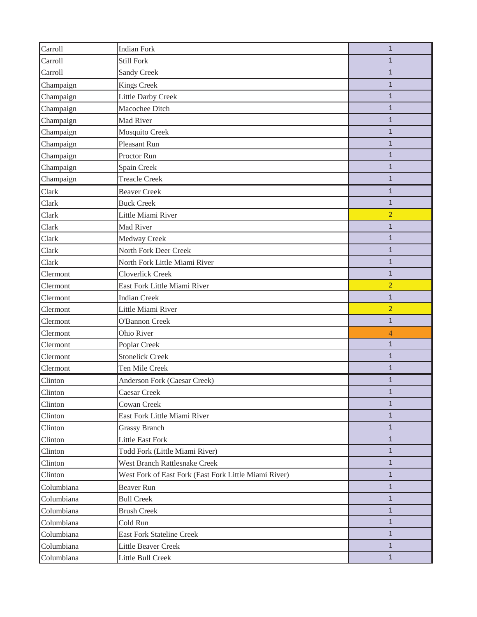| Carroll    | <b>Indian Fork</b>                                    | $\mathbf{1}$   |
|------------|-------------------------------------------------------|----------------|
| Carroll    | Still Fork                                            | $\mathbf{1}$   |
| Carroll    | Sandy Creek                                           | $\mathbf{1}$   |
| Champaign  | <b>Kings Creek</b>                                    | $\mathbf{1}$   |
| Champaign  | <b>Little Darby Creek</b>                             | $\mathbf{1}$   |
| Champaign  | Macochee Ditch                                        | $\mathbf{1}$   |
| Champaign  | Mad River                                             | $\mathbf{1}$   |
| Champaign  | Mosquito Creek                                        | $\mathbf{1}$   |
| Champaign  | Pleasant Run                                          | $\mathbf{1}$   |
| Champaign  | Proctor Run                                           | $\mathbf{1}$   |
| Champaign  | Spain Creek                                           | $\mathbf{1}$   |
| Champaign  | <b>Treacle Creek</b>                                  | $\mathbf{1}$   |
| Clark      | <b>Beaver Creek</b>                                   | $\mathbf{1}$   |
| Clark      | <b>Buck Creek</b>                                     | $\mathbf{1}$   |
| Clark      | Little Miami River                                    | $\overline{2}$ |
| Clark      | Mad River                                             | $\mathbf{1}$   |
| Clark      | Medway Creek                                          | $\mathbf{1}$   |
| Clark      | North Fork Deer Creek                                 | $\mathbf{1}$   |
| Clark      | North Fork Little Miami River                         | $\mathbf{1}$   |
| Clermont   | Cloverlick Creek                                      | $\mathbf{1}$   |
| Clermont   | East Fork Little Miami River                          | $\overline{2}$ |
| Clermont   | <b>Indian Creek</b>                                   | $\mathbf{1}$   |
| Clermont   | Little Miami River                                    | $\overline{2}$ |
| Clermont   | O'Bannon Creek                                        | $\mathbf{1}$   |
| Clermont   | Ohio River                                            | $\overline{4}$ |
| Clermont   | Poplar Creek                                          | $\mathbf{1}$   |
| Clermont   | <b>Stonelick Creek</b>                                | $\mathbf{1}$   |
| Clermont   | Ten Mile Creek                                        | $\mathbf{1}$   |
| Clinton    | Anderson Fork (Caesar Creek)                          | $\mathbf{1}$   |
| Clinton    | Caesar Creek                                          | $\mathbf{1}$   |
| Clinton    | Cowan Creek                                           | $\mathbf{1}$   |
| Clinton    | East Fork Little Miami River                          | $\mathbf{1}$   |
| Clinton    | <b>Grassy Branch</b>                                  | 1              |
| Clinton    | <b>Little East Fork</b>                               | $\mathbf{1}$   |
| Clinton    | Todd Fork (Little Miami River)                        | $\mathbf{1}$   |
| Clinton    | <b>West Branch Rattlesnake Creek</b>                  | $\mathbf{1}$   |
| Clinton    | West Fork of East Fork (East Fork Little Miami River) | $\mathbf{1}$   |
| Columbiana | Beaver Run                                            | $\mathbf{1}$   |
| Columbiana | <b>Bull Creek</b>                                     | $\mathbf{1}$   |
| Columbiana | <b>Brush Creek</b>                                    | $\mathbf{1}$   |
| Columbiana | Cold Run                                              | $\mathbf{1}$   |
| Columbiana | <b>East Fork Stateline Creek</b>                      | $\mathbf{1}$   |
| Columbiana | Little Beaver Creek                                   | $\mathbf{1}$   |
| Columbiana | Little Bull Creek                                     | $\mathbf{1}$   |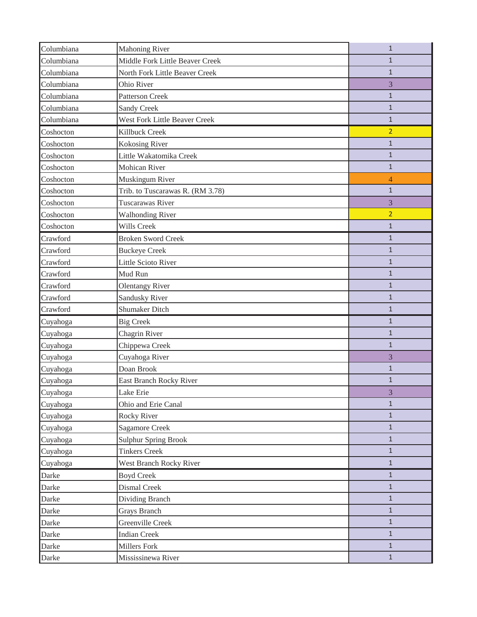| Columbiana | <b>Mahoning River</b>            | $\mathbf{1}$   |
|------------|----------------------------------|----------------|
| Columbiana | Middle Fork Little Beaver Creek  | $\mathbf{1}$   |
| Columbiana | North Fork Little Beaver Creek   | $\mathbf{1}$   |
| Columbiana | Ohio River                       | 3              |
| Columbiana | <b>Patterson Creek</b>           | 1              |
| Columbiana | <b>Sandy Creek</b>               | $\mathbf{1}$   |
| Columbiana | West Fork Little Beaver Creek    | $\mathbf{1}$   |
| Coshocton  | Killbuck Creek                   | $\overline{2}$ |
| Coshocton  | <b>Kokosing River</b>            | $\mathbf{1}$   |
| Coshocton  | Little Wakatomika Creek          | $\mathbf{1}$   |
| Coshocton  | Mohican River                    | $\mathbf{1}$   |
| Coshocton  | Muskingum River                  | 4              |
| Coshocton  | Trib. to Tuscarawas R. (RM 3.78) | $\mathbf{1}$   |
| Coshocton  | Tuscarawas River                 | 3              |
| Coshocton  | <b>Walhonding River</b>          | $\overline{2}$ |
| Coshocton  | Wills Creek                      | $\mathbf{1}$   |
| Crawford   | <b>Broken Sword Creek</b>        | $\mathbf{1}$   |
| Crawford   | <b>Buckeye Creek</b>             | $\mathbf{1}$   |
| Crawford   | <b>Little Scioto River</b>       | $\mathbf{1}$   |
| Crawford   | Mud Run                          | $\mathbf{1}$   |
| Crawford   | <b>Olentangy River</b>           | $\mathbf{1}$   |
| Crawford   | Sandusky River                   | $\mathbf{1}$   |
| Crawford   | <b>Shumaker Ditch</b>            | $\mathbf{1}$   |
| Cuyahoga   | <b>Big Creek</b>                 | $\mathbf{1}$   |
| Cuyahoga   | Chagrin River                    | $\mathbf{1}$   |
| Cuyahoga   | Chippewa Creek                   | $\mathbf{1}$   |
| Cuyahoga   | Cuyahoga River                   | 3              |
| Cuyahoga   | Doan Brook                       | $\mathbf{1}$   |
| Cuyahoga   | East Branch Rocky River          | 1              |
| Cuyahoga   | Lake Erie                        | 3              |
| Cuyahoga   | Ohio and Erie Canal              | $\mathbf{1}$   |
| Cuyahoga   | Rocky River                      | $\mathbf{1}$   |
| Cuyahoga   | <b>Sagamore Creek</b>            | $\mathbf{1}$   |
| Cuyahoga   | <b>Sulphur Spring Brook</b>      | $\mathbf{1}$   |
| Cuyahoga   | <b>Tinkers Creek</b>             | $\mathbf{1}$   |
| Cuyahoga   | <b>West Branch Rocky River</b>   | $\mathbf{1}$   |
| Darke      | <b>Boyd Creek</b>                | $\mathbf{1}$   |
| Darke      | Dismal Creek                     | $\mathbf{1}$   |
| Darke      | Dividing Branch                  | $\mathbf{1}$   |
| Darke      | Grays Branch                     | $\mathbf{1}$   |
| Darke      | Greenville Creek                 | $\mathbf{1}$   |
| Darke      | <b>Indian Creek</b>              | $\mathbf{1}$   |
| Darke      | Millers Fork                     | $\mathbf{1}$   |
| Darke      | Mississinewa River               | $\mathbf{1}$   |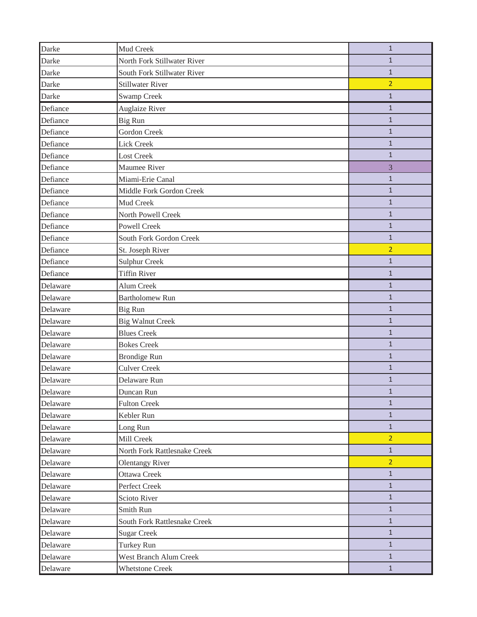| Darke    | Mud Creek                    | $\mathbf{1}$   |
|----------|------------------------------|----------------|
| Darke    | North Fork Stillwater River  | $\mathbf{1}$   |
| Darke    | South Fork Stillwater River  | $1\,$          |
| Darke    | <b>Stillwater River</b>      | $\overline{2}$ |
| Darke    | <b>Swamp Creek</b>           | $\mathbf{1}$   |
| Defiance | <b>Auglaize River</b>        | $\mathbf{1}$   |
| Defiance | <b>Big Run</b>               | $1\,$          |
| Defiance | <b>Gordon Creek</b>          | $\mathbf{1}$   |
| Defiance | Lick Creek                   | $\mathbf{1}$   |
| Defiance | <b>Lost Creek</b>            | $\mathbf{1}$   |
| Defiance | Maumee River                 | 3              |
| Defiance | Miami-Erie Canal             | $\mathbf{1}$   |
| Defiance | Middle Fork Gordon Creek     | $\mathbf{1}$   |
| Defiance | Mud Creek                    | $\mathbf{1}$   |
| Defiance | North Powell Creek           | $\mathbf{1}$   |
| Defiance | <b>Powell Creek</b>          | $\mathbf{1}$   |
| Defiance | South Fork Gordon Creek      | $\mathbf{1}$   |
| Defiance | St. Joseph River             | $\overline{2}$ |
| Defiance | <b>Sulphur Creek</b>         | $\mathbf{1}$   |
| Defiance | <b>Tiffin River</b>          | $1\,$          |
| Delaware | Alum Creek                   | $\mathbf{1}$   |
| Delaware | <b>Bartholomew Run</b>       | $\mathbf{1}$   |
| Delaware | Big Run                      | $\mathbf{1}$   |
| Delaware | <b>Big Walnut Creek</b>      | $\mathbf{1}$   |
| Delaware | <b>Blues Creek</b>           | $\mathbf{1}$   |
| Delaware | <b>Bokes Creek</b>           | $\mathbf{1}$   |
| Delaware | <b>Brondige Run</b>          | $\mathbf{1}$   |
| Delaware | <b>Culver Creek</b>          | $\mathbf{1}$   |
| Delaware | Delaware Run                 | $\mathbf{1}$   |
| Delaware | Duncan Run                   | $\mathbf 1$    |
| Delaware | <b>Fulton Creek</b>          | $\mathbf{1}$   |
| Delaware | Kebler Run                   | $\mathbf{1}$   |
| Delaware | Long Run                     | $\mathbf{1}$   |
| Delaware | Mill Creek                   | $\overline{2}$ |
| Delaware | North Fork Rattlesnake Creek | $\mathbf{1}$   |
| Delaware | <b>Olentangy River</b>       | $\overline{2}$ |
| Delaware | Ottawa Creek                 | $\mathbf{1}$   |
| Delaware | Perfect Creek                | $\mathbf{1}$   |
| Delaware | Scioto River                 | $\mathbf{1}$   |
| Delaware | Smith Run                    | $\mathbf{1}$   |
| Delaware | South Fork Rattlesnake Creek | $\mathbf{1}$   |
| Delaware | <b>Sugar Creek</b>           | $\mathbf{1}$   |
| Delaware | Turkey Run                   | $\mathbf{1}$   |
| Delaware | West Branch Alum Creek       | $\mathbf{1}$   |
| Delaware | <b>Whetstone Creek</b>       | $\mathbf{1}$   |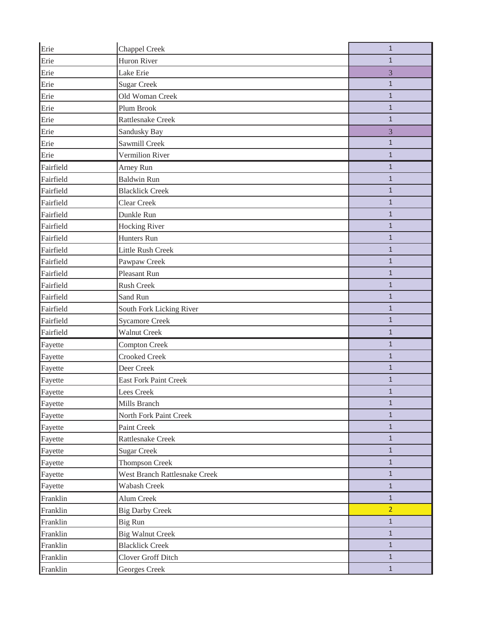| Erie      | Chappel Creek                        | $\mathbf{1}$   |
|-----------|--------------------------------------|----------------|
| Erie      | Huron River                          | $\mathbf{1}$   |
| Erie      | Lake Erie                            | 3              |
| Erie      | <b>Sugar Creek</b>                   | $\mathbf{1}$   |
| Erie      | Old Woman Creek                      | $\mathbf{1}$   |
| Erie      | Plum Brook                           | $\mathbf{1}$   |
| Erie      | Rattlesnake Creek                    | $\mathbf{1}$   |
| Erie      | Sandusky Bay                         | 3              |
| Erie      | Sawmill Creek                        | $\mathbf{1}$   |
| Erie      | Vermilion River                      | $\mathbf{1}$   |
| Fairfield | Arney Run                            | $\mathbf{1}$   |
| Fairfield | <b>Baldwin Run</b>                   | $\mathbf{1}$   |
| Fairfield | <b>Blacklick Creek</b>               | $\mathbf{1}$   |
| Fairfield | <b>Clear Creek</b>                   | $\mathbf{1}$   |
| Fairfield | Dunkle Run                           | $\mathbf{1}$   |
| Fairfield | <b>Hocking River</b>                 | $\mathbf{1}$   |
| Fairfield | Hunters Run                          | $\mathbf{1}$   |
| Fairfield | Little Rush Creek                    | $1\,$          |
| Fairfield | Pawpaw Creek                         | $1\,$          |
| Fairfield | Pleasant Run                         | $\mathbf{1}$   |
| Fairfield | Rush Creek                           | $\mathbf{1}$   |
| Fairfield | Sand Run                             | $\mathbf{1}$   |
| Fairfield | South Fork Licking River             | $1\,$          |
| Fairfield | <b>Sycamore Creek</b>                | $\mathbf{1}$   |
| Fairfield | <b>Walnut Creek</b>                  | $\mathbf{1}$   |
| Fayette   | <b>Compton Creek</b>                 | $\mathbf{1}$   |
| Fayette   | <b>Crooked Creek</b>                 | $\mathbf{1}$   |
| Fayette   | Deer Creek                           | $\mathbf{1}$   |
| Fayette   | <b>East Fork Paint Creek</b>         | $\mathbf{1}$   |
| Fayette   | Lees Creek                           | $\mathbf{1}$   |
| Fayette   | Mills Branch                         | $\mathbf{1}$   |
| Fayette   | North Fork Paint Creek               | $\mathbf{1}$   |
| Fayette   | Paint Creek                          | $\mathbf{1}$   |
| Fayette   | Rattlesnake Creek                    | $\mathbf{1}$   |
| Fayette   | <b>Sugar Creek</b>                   | $\mathbf{1}$   |
| Fayette   | <b>Thompson Creek</b>                | $1\,$          |
| Fayette   | <b>West Branch Rattlesnake Creek</b> | $\mathbf{1}$   |
| Fayette   | Wabash Creek                         | $1\,$          |
| Franklin  | Alum Creek                           | $\mathbf{1}$   |
| Franklin  | <b>Big Darby Creek</b>               | $\overline{2}$ |
| Franklin  | Big Run                              | $\mathbf{1}$   |
| Franklin  | <b>Big Walnut Creek</b>              | $\mathbf{1}$   |
| Franklin  | <b>Blacklick Creek</b>               | $\mathbf{1}$   |
| Franklin  | <b>Clover Groff Ditch</b>            | $\mathbf{1}$   |
| Franklin  | Georges Creek                        | $1\,$          |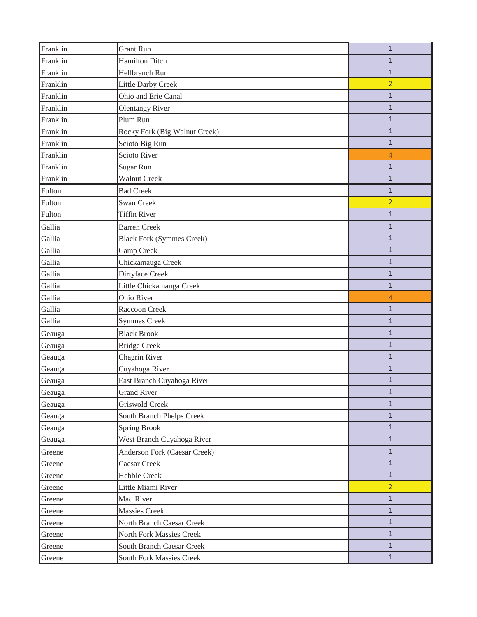| Franklin | <b>Grant Run</b>                 | $\mathbf{1}$   |
|----------|----------------------------------|----------------|
| Franklin | <b>Hamilton Ditch</b>            | $\mathbf{1}$   |
| Franklin | Hellbranch Run                   | $\mathbf{1}$   |
| Franklin | <b>Little Darby Creek</b>        | $\overline{2}$ |
| Franklin | Ohio and Erie Canal              | $\mathbf{1}$   |
| Franklin | <b>Olentangy River</b>           | $\mathbf{1}$   |
| Franklin | Plum Run                         | $\mathbf{1}$   |
| Franklin | Rocky Fork (Big Walnut Creek)    | $\mathbf{1}$   |
| Franklin | Scioto Big Run                   | $\mathbf{1}$   |
| Franklin | Scioto River                     | $\overline{4}$ |
| Franklin | Sugar Run                        | $\mathbf{1}$   |
| Franklin | <b>Walnut Creek</b>              | $\mathbf{1}$   |
| Fulton   | <b>Bad Creek</b>                 | $\mathbf{1}$   |
| Fulton   | Swan Creek                       | $\overline{2}$ |
| Fulton   | <b>Tiffin River</b>              | $\mathbf{1}$   |
| Gallia   | <b>Barren Creek</b>              | $\mathbf{1}$   |
| Gallia   | <b>Black Fork (Symmes Creek)</b> | $\mathbf{1}$   |
| Gallia   | Camp Creek                       | $\mathbf{1}$   |
| Gallia   | Chickamauga Creek                | $\mathbf{1}$   |
| Gallia   | Dirtyface Creek                  | $\mathbf{1}$   |
| Gallia   | Little Chickamauga Creek         | $\mathbf{1}$   |
| Gallia   | Ohio River                       | $\overline{4}$ |
| Gallia   | Raccoon Creek                    | $\mathbf{1}$   |
| Gallia   | <b>Symmes Creek</b>              | $\mathbf{1}$   |
| Geauga   | <b>Black Brook</b>               | $\mathbf{1}$   |
| Geauga   | <b>Bridge Creek</b>              | $\mathbf{1}$   |
| Geauga   | <b>Chagrin River</b>             | $\mathbf{1}$   |
| Geauga   | Cuyahoga River                   | $\mathbf{1}$   |
| Geauga   | East Branch Cuyahoga River       | 1              |
| Geauga   | <b>Grand River</b>               | $\mathbf{1}$   |
| Geauga   | Griswold Creek                   | $\mathbf{1}$   |
| Geauga   | South Branch Phelps Creek        | $\mathbf{1}$   |
| Geauga   | Spring Brook                     | $\mathbf{1}$   |
| Geauga   | West Branch Cuyahoga River       | $\mathbf{1}$   |
| Greene   | Anderson Fork (Caesar Creek)     | $\mathbf{1}$   |
| Greene   | Caesar Creek                     | $\mathbf{1}$   |
| Greene   | <b>Hebble Creek</b>              | $\mathbf{1}$   |
| Greene   | Little Miami River               | $\overline{2}$ |
| Greene   | Mad River                        | $\mathbf{1}$   |
| Greene   | <b>Massies Creek</b>             | $\mathbf{1}$   |
| Greene   | North Branch Caesar Creek        | $\mathbf{1}$   |
| Greene   | North Fork Massies Creek         | $\mathbf{1}$   |
| Greene   | South Branch Caesar Creek        | $\mathbf{1}$   |
| Greene   | South Fork Massies Creek         | $\mathbf{1}$   |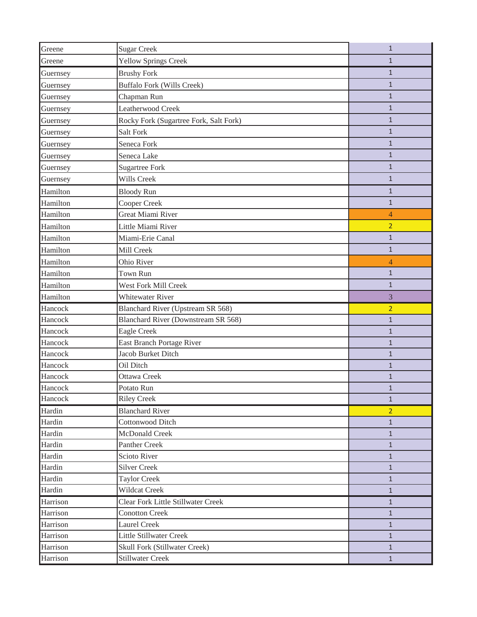| Greene   | <b>Sugar Creek</b>                        | $\mathbf{1}$   |
|----------|-------------------------------------------|----------------|
| Greene   | <b>Yellow Springs Creek</b>               | $\mathbf{1}$   |
| Guernsey | <b>Brushy Fork</b>                        | $\mathbf{1}$   |
| Guernsey | <b>Buffalo Fork (Wills Creek)</b>         | $\mathbf{1}$   |
| Guernsey | Chapman Run                               | $\mathbf{1}$   |
| Guernsey | Leatherwood Creek                         | $\mathbf{1}$   |
| Guernsey | Rocky Fork (Sugartree Fork, Salt Fork)    | $\mathbf{1}$   |
| Guernsey | Salt Fork                                 | $\mathbf{1}$   |
| Guernsey | Seneca Fork                               | $\mathbf{1}$   |
| Guernsey | Seneca Lake                               | $\mathbf{1}$   |
| Guernsey | <b>Sugartree Fork</b>                     | $\mathbf{1}$   |
| Guernsey | Wills Creek                               | $\mathbf{1}$   |
| Hamilton | <b>Bloody Run</b>                         | $\mathbf{1}$   |
| Hamilton | Cooper Creek                              | $\mathbf{1}$   |
| Hamilton | <b>Great Miami River</b>                  | 4              |
| Hamilton | Little Miami River                        | $\overline{2}$ |
| Hamilton | Miami-Erie Canal                          | $\mathbf{1}$   |
| Hamilton | Mill Creek                                | $\mathbf{1}$   |
| Hamilton | Ohio River                                | $\overline{4}$ |
| Hamilton | Town Run                                  | $\mathbf{1}$   |
| Hamilton | West Fork Mill Creek                      | $\mathbf{1}$   |
| Hamilton | <b>Whitewater River</b>                   | 3              |
| Hancock  | Blanchard River (Upstream SR 568)         | $\overline{2}$ |
| Hancock  | Blanchard River (Downstream SR 568)       | $\mathbf{1}$   |
| Hancock  | Eagle Creek                               | $\mathbf{1}$   |
| Hancock  | East Branch Portage River                 | $\mathbf{1}$   |
| Hancock  | Jacob Burket Ditch                        | $\mathbf{1}$   |
| Hancock  | Oil Ditch                                 | $\mathbf{1}$   |
| Hancock  | <b>Ottawa Creek</b>                       | 1              |
| Hancock  | Potato Run                                | $\mathbf{1}$   |
| Hancock  | <b>Riley Creek</b>                        | $\mathbf{1}$   |
| Hardin   | <b>Blanchard River</b>                    | $\overline{2}$ |
| Hardin   | <b>Cottonwood Ditch</b>                   | $\mathbf{1}$   |
| Hardin   | McDonald Creek                            | $\mathbf{1}$   |
| Hardin   | <b>Panther Creek</b>                      | $\mathbf{1}$   |
| Hardin   | Scioto River                              | $\mathbf{1}$   |
| Hardin   | <b>Silver Creek</b>                       | $\mathbf{1}$   |
| Hardin   | <b>Taylor Creek</b>                       | $\mathbf{1}$   |
| Hardin   | Wildcat Creek                             | $\mathbf{1}$   |
| Harrison | <b>Clear Fork Little Stillwater Creek</b> | $\mathbf{1}$   |
| Harrison | <b>Conotton Creek</b>                     | $\mathbf{1}$   |
| Harrison | <b>Laurel Creek</b>                       | $\mathbf{1}$   |
| Harrison | <b>Little Stillwater Creek</b>            | $\mathbf{1}$   |
| Harrison | Skull Fork (Stillwater Creek)             | $\mathbf{1}$   |
| Harrison | Stillwater Creek                          | $\mathbf{1}$   |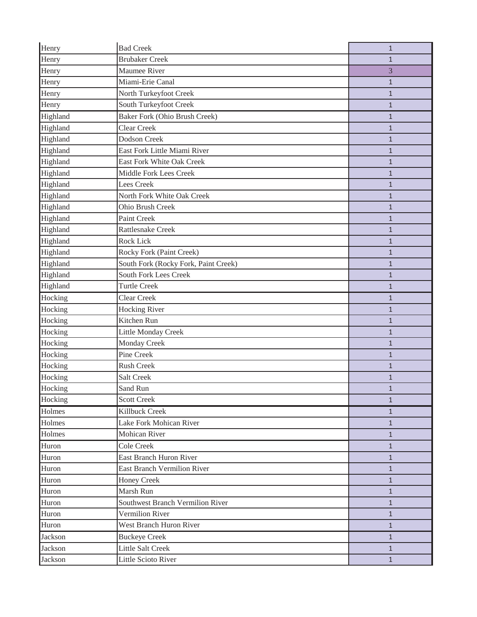| Henry    | <b>Bad Creek</b>                     | $\mathbf{1}$ |
|----------|--------------------------------------|--------------|
| Henry    | <b>Brubaker Creek</b>                | $\mathbf{1}$ |
| Henry    | Maumee River                         | 3            |
| Henry    | Miami-Erie Canal                     | $\mathbf{1}$ |
| Henry    | North Turkeyfoot Creek               | $\mathbf{1}$ |
| Henry    | South Turkeyfoot Creek               | $\mathbf{1}$ |
| Highland | <b>Baker Fork (Ohio Brush Creek)</b> | $\mathbf{1}$ |
| Highland | <b>Clear Creek</b>                   | $\mathbf{1}$ |
| Highland | <b>Dodson Creek</b>                  | $\mathbf{1}$ |
| Highland | East Fork Little Miami River         | $\mathbf{1}$ |
| Highland | East Fork White Oak Creek            | 1            |
| Highland | Middle Fork Lees Creek               | $\mathbf{1}$ |
| Highland | <b>Lees Creek</b>                    | $\mathbf{1}$ |
| Highland | North Fork White Oak Creek           | $\mathbf{1}$ |
| Highland | Ohio Brush Creek                     | $\mathbf{1}$ |
| Highland | Paint Creek                          | $\mathbf{1}$ |
| Highland | Rattlesnake Creek                    | $\mathbf{1}$ |
| Highland | Rock Lick                            | $\mathbf{1}$ |
| Highland | Rocky Fork (Paint Creek)             | $\mathbf{1}$ |
| Highland | South Fork (Rocky Fork, Paint Creek) | 1            |
| Highland | <b>South Fork Lees Creek</b>         | $\mathbf{1}$ |
| Highland | <b>Turtle Creek</b>                  | $\mathbf{1}$ |
| Hocking  | <b>Clear Creek</b>                   | $\mathbf{1}$ |
| Hocking  | <b>Hocking River</b>                 | $\mathbf{1}$ |
| Hocking  | Kitchen Run                          | $\mathbf{1}$ |
| Hocking  | Little Monday Creek                  | $\mathbf{1}$ |
| Hocking  | Monday Creek                         | $\mathbf{1}$ |
| Hocking  | Pine Creek                           | $\mathbf{1}$ |
| Hocking  | Rush Creek                           | $\mathbf{1}$ |
| Hocking  | <b>Salt Creek</b>                    | $\mathbf{1}$ |
| Hocking  | Sand Run                             | $\mathbf{1}$ |
| Hocking  | <b>Scott Creek</b>                   | $\mathbf{1}$ |
| Holmes   | Killbuck Creek                       | $\mathbf{1}$ |
| Holmes   | Lake Fork Mohican River              | $\mathbf{1}$ |
| Holmes   | Mohican River                        | $\mathbf{1}$ |
| Huron    | <b>Cole Creek</b>                    | $\mathbf{1}$ |
| Huron    | East Branch Huron River              | $\mathbf{1}$ |
| Huron    | <b>East Branch Vermilion River</b>   | $\mathbf{1}$ |
| Huron    | Honey Creek                          | $\mathbf{1}$ |
| Huron    | Marsh Run                            | $\mathbf{1}$ |
| Huron    | Southwest Branch Vermilion River     | $\mathbf{1}$ |
| Huron    | Vermilion River                      | $\mathbf{1}$ |
| Huron    | West Branch Huron River              | $\mathbf{1}$ |
| Jackson  | <b>Buckeye Creek</b>                 | $\mathbf{1}$ |
| Jackson  | Little Salt Creek                    | $\mathbf{1}$ |
| Jackson  | Little Scioto River                  | $\mathbf{1}$ |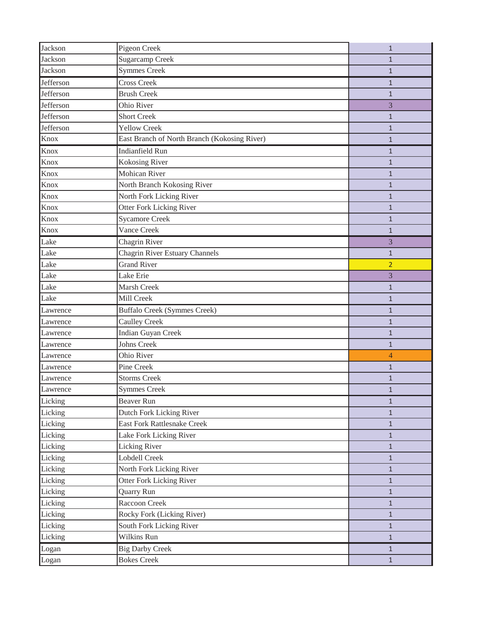| Jackson   | Pigeon Creek                                 | $\mathbf{1}$   |
|-----------|----------------------------------------------|----------------|
| Jackson   | <b>Sugarcamp Creek</b>                       | $\mathbf{1}$   |
| Jackson   | <b>Symmes Creek</b>                          | $\mathbf{1}$   |
| Jefferson | <b>Cross Creek</b>                           | $\mathbf{1}$   |
| Jefferson | <b>Brush Creek</b>                           | $\mathbf{1}$   |
| Jefferson | Ohio River                                   | 3              |
| Jefferson | <b>Short Creek</b>                           | $\mathbf{1}$   |
| Jefferson | <b>Yellow Creek</b>                          | $\mathbf{1}$   |
| Knox      | East Branch of North Branch (Kokosing River) | $\mathbf{1}$   |
| Knox      | <b>Indianfield Run</b>                       | 1              |
| Knox      | Kokosing River                               | $\mathbf{1}$   |
| Knox      | <b>Mohican River</b>                         | $\mathbf{1}$   |
| Knox      | North Branch Kokosing River                  | $\mathbf{1}$   |
| Knox      | North Fork Licking River                     | $\mathbf{1}$   |
| Knox      | Otter Fork Licking River                     | $\mathbf{1}$   |
| Knox      | <b>Sycamore Creek</b>                        | $\mathbf{1}$   |
| Knox      | Vance Creek                                  | $\mathbf{1}$   |
| Lake      | Chagrin River                                | 3              |
| Lake      | <b>Chagrin River Estuary Channels</b>        | $\mathbf{1}$   |
| Lake      | <b>Grand River</b>                           | $\overline{2}$ |
| Lake      | Lake Erie                                    | 3              |
| Lake      | Marsh Creek                                  | $\mathbf{1}$   |
| Lake      | Mill Creek                                   | $\mathbf{1}$   |
|           |                                              |                |
| Lawrence  | <b>Buffalo Creek (Symmes Creek)</b>          | 1              |
| Lawrence  | <b>Caulley Creek</b>                         | $\mathbf{1}$   |
| Lawrence  | <b>Indian Guyan Creek</b>                    | $\mathbf{1}$   |
| Lawrence  | <b>Johns Creek</b>                           | $\mathbf{1}$   |
| Lawrence  | Ohio River                                   | 4              |
| Lawrence  | Pine Creek                                   | $\mathbf{1}$   |
| Lawrence  | <b>Storms Creek</b>                          | $\mathbf{1}$   |
| Lawrence  | <b>Symmes Creek</b>                          | $\mathbf{1}$   |
| Licking   | <b>Beaver Run</b>                            | $\mathbf{1}$   |
| Licking   | Dutch Fork Licking River                     | $\mathbf{1}$   |
| Licking   | <b>East Fork Rattlesnake Creek</b>           | $\mathbf{1}$   |
| Licking   | Lake Fork Licking River                      | $\mathbf{1}$   |
| Licking   | Licking River                                | $\mathbf{1}$   |
| Licking   | Lobdell Creek                                | $\mathbf{1}$   |
| Licking   | North Fork Licking River                     | $\mathbf{1}$   |
| Licking   | Otter Fork Licking River                     | $\mathbf{1}$   |
| Licking   | Quarry Run                                   | $\mathbf{1}$   |
| Licking   | Raccoon Creek                                | $\mathbf{1}$   |
| Licking   | Rocky Fork (Licking River)                   | $\mathbf{1}$   |
| Licking   | South Fork Licking River                     | $\mathbf{1}$   |
| Licking   | Wilkins Run                                  | $\mathbf{1}$   |
| Logan     | <b>Big Darby Creek</b>                       | $\mathbf{1}$   |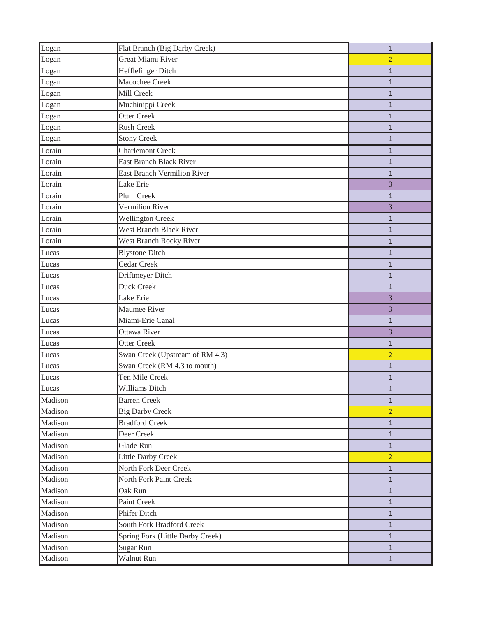| Logan   | Flat Branch (Big Darby Creek)      | $\mathbf{1}$   |
|---------|------------------------------------|----------------|
| Logan   | <b>Great Miami River</b>           | $\overline{2}$ |
| Logan   | Hefflefinger Ditch                 | $\mathbf{1}$   |
| Logan   | Macochee Creek                     | $\mathbf{1}$   |
| Logan   | Mill Creek                         | $\mathbf{1}$   |
| Logan   | Muchinippi Creek                   | 1              |
| Logan   | <b>Otter Creek</b>                 | $\mathbf{1}$   |
| Logan   | <b>Rush Creek</b>                  | $\mathbf{1}$   |
| Logan   | <b>Stony Creek</b>                 | $\mathbf{1}$   |
| Lorain  | <b>Charlemont Creek</b>            | $\mathbf{1}$   |
| Lorain  | <b>East Branch Black River</b>     | $\mathbf{1}$   |
| Lorain  | <b>East Branch Vermilion River</b> | $\mathbf{1}$   |
| Lorain  | Lake Erie                          | 3              |
| Lorain  | Plum Creek                         | $\mathbf{1}$   |
| Lorain  | Vermilion River                    | 3              |
| Lorain  | <b>Wellington Creek</b>            | $\mathbf{1}$   |
| Lorain  | <b>West Branch Black River</b>     | $\mathbf{1}$   |
| Lorain  | West Branch Rocky River            | $\mathbf{1}$   |
| Lucas   | <b>Blystone Ditch</b>              | $\mathbf{1}$   |
| Lucas   | Cedar Creek                        | $\mathbf{1}$   |
| Lucas   | Driftmeyer Ditch                   | $\mathbf{1}$   |
| Lucas   | Duck Creek                         | $\mathbf{1}$   |
| Lucas   | Lake Erie                          | 3              |
| Lucas   | Maumee River                       | 3              |
| Lucas   | Miami-Erie Canal                   | $\mathbf{1}$   |
| Lucas   | Ottawa River                       | 3              |
| Lucas   | <b>Otter Creek</b>                 | $\mathbf{1}$   |
| Lucas   | Swan Creek (Upstream of RM 4.3)    | $\overline{2}$ |
| Lucas   | Swan Creek (RM 4.3 to mouth)       | $\mathbf{1}$   |
| Lucas   | Ten Mile Creek                     | $\mathbf{1}$   |
| Lucas   | Williams Ditch                     | $\mathbf{1}$   |
| Madison | <b>Barren Creek</b>                | $\mathbf{1}$   |
| Madison | <b>Big Darby Creek</b>             | $\overline{2}$ |
| Madison | <b>Bradford Creek</b>              | $\mathbf{1}$   |
| Madison | Deer Creek                         | $\mathbf{1}$   |
| Madison | Glade Run                          | $\mathbf{1}$   |
| Madison | <b>Little Darby Creek</b>          | $\overline{2}$ |
| Madison | North Fork Deer Creek              | $\mathbf{1}$   |
| Madison | North Fork Paint Creek             | $\mathbf{1}$   |
| Madison | Oak Run                            | $\mathbf{1}$   |
| Madison | Paint Creek                        | $\mathbf{1}$   |
| Madison | Phifer Ditch                       | $\mathbf{1}$   |
| Madison | <b>South Fork Bradford Creek</b>   | $\mathbf{1}$   |
| Madison | Spring Fork (Little Darby Creek)   | $\mathbf{1}$   |
| Madison | Sugar Run                          | $\mathbf{1}$   |
| Madison | Walnut Run                         | $\mathbf{1}$   |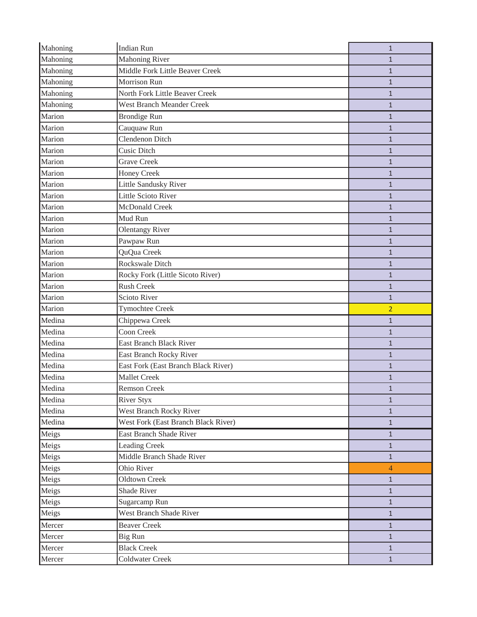| Mahoning | <b>Indian Run</b>                   | $\mathbf{1}$   |
|----------|-------------------------------------|----------------|
| Mahoning | <b>Mahoning River</b>               | $\mathbf{1}$   |
| Mahoning | Middle Fork Little Beaver Creek     | $\mathbf{1}$   |
| Mahoning | Morrison Run                        | $\mathbf{1}$   |
| Mahoning | North Fork Little Beaver Creek      | $\mathbf{1}$   |
| Mahoning | <b>West Branch Meander Creek</b>    | $\mathbf{1}$   |
| Marion   | <b>Brondige Run</b>                 | $\mathbf{1}$   |
| Marion   | Cauquaw Run                         | $\mathbf{1}$   |
| Marion   | Clendenon Ditch                     | $\mathbf{1}$   |
| Marion   | <b>Cusic Ditch</b>                  | $\mathbf{1}$   |
| Marion   | <b>Grave Creek</b>                  | $\mathbf{1}$   |
| Marion   | Honey Creek                         | $\mathbf{1}$   |
| Marion   | Little Sandusky River               | $\mathbf{1}$   |
| Marion   | Little Scioto River                 | $\mathbf{1}$   |
| Marion   | McDonald Creek                      | $\mathbf{1}$   |
| Marion   | Mud Run                             | $\mathbf{1}$   |
| Marion   | <b>Olentangy River</b>              | $\mathbf{1}$   |
| Marion   | Pawpaw Run                          | $\mathbf{1}$   |
| Marion   | QuQua Creek                         | $\mathbf{1}$   |
| Marion   | Rockswale Ditch                     | 1              |
| Marion   | Rocky Fork (Little Sicoto River)    | $\mathbf{1}$   |
| Marion   | <b>Rush Creek</b>                   | $\mathbf{1}$   |
| Marion   | Scioto River                        | $\mathbf{1}$   |
|          |                                     |                |
| Marion   | <b>Tymochtee Creek</b>              | $\overline{2}$ |
| Medina   | Chippewa Creek                      | $\mathbf{1}$   |
| Medina   | Coon Creek                          | $\mathbf{1}$   |
| Medina   | East Branch Black River             | $\mathbf{1}$   |
| Medina   | East Branch Rocky River             | $\mathbf{1}$   |
| Medina   | East Fork (East Branch Black River) | $\mathbf{1}$   |
| Medina   | <b>Mallet Creek</b>                 | $\mathbf{1}$   |
| Medina   | <b>Remson Creek</b>                 | $\mathbf{1}$   |
| Medina   | <b>River Styx</b>                   | $\mathbf{1}$   |
| Medina   | West Branch Rocky River             | $\mathbf{1}$   |
| Medina   | West Fork (East Branch Black River) | $\mathbf{1}$   |
| Meigs    | <b>East Branch Shade River</b>      | $\mathbf{1}$   |
| Meigs    | <b>Leading Creek</b>                | $\mathbf{1}$   |
| Meigs    | Middle Branch Shade River           | $\mathbf{1}$   |
| Meigs    | Ohio River                          | $\overline{4}$ |
| Meigs    | <b>Oldtown Creek</b>                | $\mathbf{1}$   |
| Meigs    | <b>Shade River</b>                  | $\mathbf{1}$   |
| Meigs    | Sugarcamp Run                       | $\mathbf{1}$   |
| Meigs    | West Branch Shade River             | $\mathbf{1}$   |
| Mercer   | <b>Beaver Creek</b>                 | $\mathbf{1}$   |
| Mercer   | Big Run                             | $\mathbf{1}$   |
| Mercer   | <b>Black Creek</b>                  | $\mathbf{1}$   |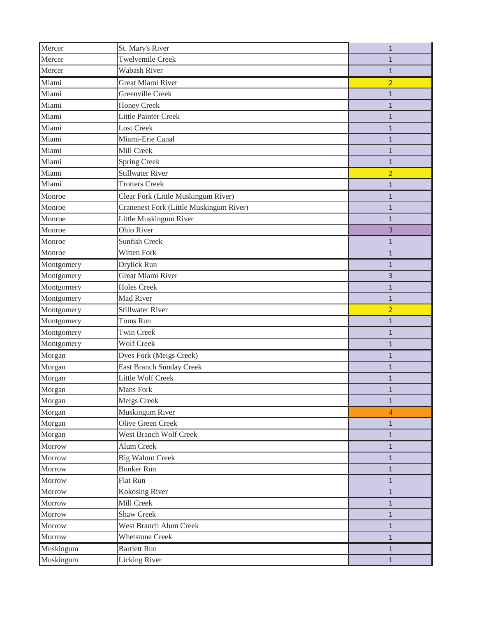| Mercer     | St. Mary's River                        | $\mathbf{1}$   |
|------------|-----------------------------------------|----------------|
| Mercer     | <b>Twelvemile Creek</b>                 | $\mathbf{1}$   |
| Mercer     | <b>Wabash River</b>                     | $\mathbf{1}$   |
| Miami      | <b>Great Miami River</b>                | $\overline{2}$ |
| Miami      | Greenville Creek                        | $\mathbf{1}$   |
| Miami      | Honey Creek                             | $\mathbf{1}$   |
| Miami      | <b>Little Painter Creek</b>             | $\mathbf{1}$   |
| Miami      | Lost Creek                              | $\mathbf{1}$   |
| Miami      | Miami-Erie Canal                        | $\mathbf{1}$   |
| Miami      | Mill Creek                              | $\mathbf{1}$   |
| Miami      | <b>Spring Creek</b>                     | $\mathbf{1}$   |
| Miami      | <b>Stillwater River</b>                 | $\overline{2}$ |
| Miami      | <b>Trotters Creek</b>                   | $\mathbf{1}$   |
| Monroe     | Clear Fork (Little Muskingum River)     | $\mathbf{1}$   |
| Monroe     | Cranenest Fork (Little Muskingum River) | $\mathbf{1}$   |
| Monroe     | Little Muskingum River                  | $\mathbf{1}$   |
| Monroe     | Ohio River                              | 3              |
| Monroe     | <b>Sunfish Creek</b>                    | $\mathbf{1}$   |
| Monroe     | Witten Fork                             | $\mathbf{1}$   |
| Montgomery | Drylick Run                             | $\mathbf{1}$   |
| Montgomery | <b>Great Miami River</b>                | 3              |
| Montgomery | <b>Holes Creek</b>                      | $\mathbf{1}$   |
| Montgomery | Mad River                               | $\mathbf{1}$   |
| Montgomery | <b>Stillwater River</b>                 | $\overline{2}$ |
| Montgomery | Toms Run                                | $\mathbf{1}$   |
| Montgomery | <b>Twin Creek</b>                       | $\mathbf{1}$   |
| Montgomery | <b>Wolf Creek</b>                       | $\mathbf{1}$   |
| Morgan     | Dyes Fork (Meigs Creek)                 | 1              |
| Morgan     | East Branch Sunday Creek                | $\mathbf{1}$   |
| Morgan     | <b>Little Wolf Creek</b>                | $\mathbf{1}$   |
| Morgan     | Mans Fork                               | 1              |
| Morgan     | Meigs Creek                             | $\mathbf{1}$   |
| Morgan     | Muskingum River                         | 4              |
| Morgan     | Olive Green Creek                       | $\mathbf{1}$   |
| Morgan     | West Branch Wolf Creek                  | $\mathbf{1}$   |
| Morrow     | Alum Creek                              | $\mathbf{1}$   |
| Morrow     | <b>Big Walnut Creek</b>                 | $\mathbf{1}$   |
| Morrow     | <b>Bunker Run</b>                       | $\mathbf{1}$   |
| Morrow     | Flat Run                                | $\mathbf{1}$   |
| Morrow     | <b>Kokosing River</b>                   | $\mathbf{1}$   |
| Morrow     | Mill Creek                              | $\mathbf{1}$   |
| Morrow     | <b>Shaw Creek</b>                       | $\mathbf{1}$   |
| Morrow     | West Branch Alum Creek                  | $\mathbf{1}$   |
| Morrow     | <b>Whetstone Creek</b>                  | $\mathbf{1}$   |
| Muskingum  | <b>Bartlett Run</b>                     | $\mathbf{1}$   |
| Muskingum  | <b>Licking River</b>                    | $\mathbf{1}$   |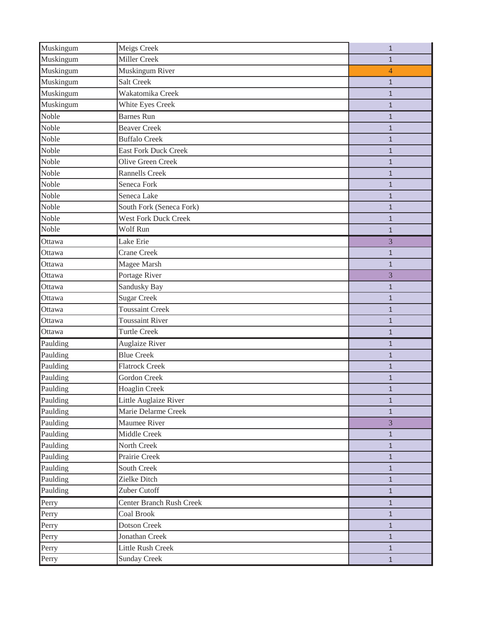| Muskingum | Meigs Creek                 | $\mathbf{1}$   |
|-----------|-----------------------------|----------------|
| Muskingum | Miller Creek                | $\mathbf{1}$   |
| Muskingum | Muskingum River             | $\overline{4}$ |
| Muskingum | <b>Salt Creek</b>           | $\mathbf{1}$   |
| Muskingum | Wakatomika Creek            | $\mathbf{1}$   |
| Muskingum | White Eyes Creek            | $\mathbf{1}$   |
| Noble     | <b>Barnes Run</b>           | $\mathbf{1}$   |
| Noble     | <b>Beaver Creek</b>         | $\mathbf{1}$   |
| Noble     | <b>Buffalo Creek</b>        | $\mathbf{1}$   |
| Noble     | <b>East Fork Duck Creek</b> | $\mathbf{1}$   |
| Noble     | Olive Green Creek           | $\mathbf{1}$   |
| Noble     | <b>Rannells Creek</b>       | $\mathbf{1}$   |
| Noble     | Seneca Fork                 | $\mathbf{1}$   |
| Noble     | Seneca Lake                 | $\mathbf{1}$   |
| Noble     | South Fork (Seneca Fork)    | $\mathbf{1}$   |
| Noble     | <b>West Fork Duck Creek</b> | $\mathbf{1}$   |
| Noble     | Wolf Run                    | $\mathbf{1}$   |
| Ottawa    | Lake Erie                   | 3              |
| Ottawa    | <b>Crane Creek</b>          | $\mathbf{1}$   |
| Ottawa    | Magee Marsh                 | $\mathbf{1}$   |
| Ottawa    | Portage River               | 3              |
| Ottawa    | Sandusky Bay                | $\mathbf{1}$   |
| Ottawa    | <b>Sugar Creek</b>          | $\mathbf{1}$   |
| Ottawa    | <b>Toussaint Creek</b>      | $\mathbf{1}$   |
| Ottawa    | <b>Toussaint River</b>      | $\mathbf{1}$   |
| Ottawa    | <b>Turtle Creek</b>         | $\mathbf{1}$   |
| Paulding  | Auglaize River              | $\mathbf{1}$   |
| Paulding  | <b>Blue Creek</b>           | $\mathbf{1}$   |
| Paulding  | <b>Flatrock Creek</b>       | $\mathbf{1}$   |
| Paulding  | Gordon Creek                | $\mathbf{1}$   |
| Paulding  | Hoaglin Creek               | $\mathbf{1}$   |
| Paulding  | Little Auglaize River       | $\mathbf{1}$   |
| Paulding  | Marie Delarme Creek         | $\mathbf{1}$   |
| Paulding  | Maumee River                | 3              |
| Paulding  | Middle Creek                | $\mathbf{1}$   |
| Paulding  | North Creek                 | $\mathbf{1}$   |
| Paulding  | Prairie Creek               | $\mathbf{1}$   |
| Paulding  | South Creek                 | $\mathbf{1}$   |
| Paulding  | Zielke Ditch                | $\mathbf{1}$   |
| Paulding  | Zuber Cutoff                | $1\,$          |
| Perry     | Center Branch Rush Creek    | $\mathbf{1}$   |
| Perry     | Coal Brook                  | $\mathbf{1}$   |
| Perry     | <b>Dotson Creek</b>         | $\mathbf{1}$   |
| Perry     | Jonathan Creek              | $\mathbf{1}$   |
| Perry     | <b>Little Rush Creek</b>    | $\mathbf{1}$   |
| Perry     | <b>Sunday Creek</b>         | $\mathbf{1}$   |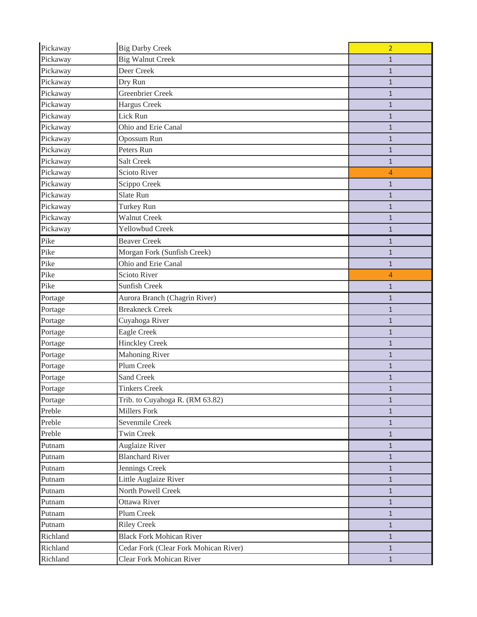| Pickaway | <b>Big Darby Creek</b>                | $\overline{2}$ |
|----------|---------------------------------------|----------------|
| Pickaway | <b>Big Walnut Creek</b>               | $\mathbf{1}$   |
| Pickaway | Deer Creek                            | $\mathbf{1}$   |
| Pickaway | Dry Run                               | $\mathbf{1}$   |
| Pickaway | Greenbrier Creek                      | $\mathbf{1}$   |
| Pickaway | <b>Hargus Creek</b>                   | $\mathbf{1}$   |
| Pickaway | Lick Run                              | $\mathbf{1}$   |
| Pickaway | Ohio and Erie Canal                   | $\mathbf{1}$   |
| Pickaway | Opossum Run                           | $\mathbf{1}$   |
| Pickaway | Peters Run                            | $\mathbf{1}$   |
| Pickaway | <b>Salt Creek</b>                     | $\mathbf{1}$   |
| Pickaway | Scioto River                          | $\overline{4}$ |
| Pickaway | Scippo Creek                          | $\mathbf{1}$   |
| Pickaway | Slate Run                             | $\mathbf{1}$   |
| Pickaway | Turkey Run                            | $\mathbf{1}$   |
| Pickaway | <b>Walnut Creek</b>                   | $\mathbf{1}$   |
| Pickaway | Yellowbud Creek                       | $\mathbf{1}$   |
| Pike     | <b>Beaver Creek</b>                   | $\mathbf{1}$   |
| Pike     | Morgan Fork (Sunfish Creek)           | $\mathbf{1}$   |
| Pike     | Ohio and Erie Canal                   | $\mathbf{1}$   |
| Pike     | <b>Scioto River</b>                   | $\overline{4}$ |
| Pike     | Sunfish Creek                         | $\mathbf{1}$   |
| Portage  | Aurora Branch (Chagrin River)         | $\mathbf{1}$   |
| Portage  | <b>Breakneck Creek</b>                | $\mathbf{1}$   |
| Portage  | Cuyahoga River                        | $\mathbf{1}$   |
| Portage  | <b>Eagle Creek</b>                    | $\mathbf{1}$   |
| Portage  | <b>Hinckley Creek</b>                 | $\mathbf{1}$   |
| Portage  | <b>Mahoning River</b>                 | $\mathbf{1}$   |
| Portage  | Plum Creek                            | $\mathbf{1}$   |
| Portage  | Sand Creek                            | $\mathbf{1}$   |
| Portage  | <b>Tinkers Creek</b>                  | $\mathbf{1}$   |
| Portage  | Trib. to Cuyahoga R. (RM 63.82)       | $\mathbf{1}$   |
| Preble   | Millers Fork                          | $\mathbf{1}$   |
| Preble   | Sevenmile Creek                       | $\mathbf{1}$   |
| Preble   | <b>Twin Creek</b>                     | $\mathbf{1}$   |
| Putnam   | <b>Auglaize River</b>                 | $\mathbf{1}$   |
| Putnam   | <b>Blanchard River</b>                | $\mathbf{1}$   |
| Putnam   | Jennings Creek                        | $\mathbf{1}$   |
| Putnam   | Little Auglaize River                 | $\mathbf{1}$   |
| Putnam   | North Powell Creek                    | $\mathbf{1}$   |
| Putnam   | Ottawa River                          | $\mathbf{1}$   |
| Putnam   | Plum Creek                            | $\mathbf{1}$   |
| Putnam   | <b>Riley Creek</b>                    | $\mathbf{1}$   |
| Richland | <b>Black Fork Mohican River</b>       | $\mathbf{1}$   |
| Richland | Cedar Fork (Clear Fork Mohican River) | $\mathbf{1}$   |
| Richland | <b>Clear Fork Mohican River</b>       | $\mathbf{1}$   |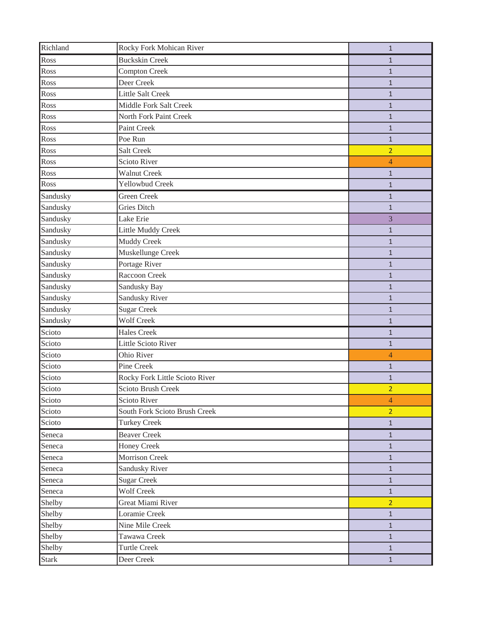| Richland     | Rocky Fork Mohican River       | $\mathbf{1}$   |
|--------------|--------------------------------|----------------|
| Ross         | <b>Buckskin Creek</b>          | $\mathbf{1}$   |
| Ross         | <b>Compton Creek</b>           | $\mathbf{1}$   |
| Ross         | Deer Creek                     | $\mathbf{1}$   |
| Ross         | <b>Little Salt Creek</b>       | $\mathbf{1}$   |
| Ross         | Middle Fork Salt Creek         | $\mathbf{1}$   |
| Ross         | North Fork Paint Creek         | $\mathbf{1}$   |
| Ross         | Paint Creek                    | $\mathbf{1}$   |
| Ross         | Poe Run                        | $\mathbf{1}$   |
| Ross         | <b>Salt Creek</b>              | $\overline{2}$ |
| Ross         | <b>Scioto River</b>            | $\overline{4}$ |
| Ross         | <b>Walnut Creek</b>            | $\mathbf{1}$   |
| Ross         | Yellowbud Creek                | $\mathbf{1}$   |
| Sandusky     | <b>Green Creek</b>             | $\mathbf{1}$   |
| Sandusky     | <b>Gries Ditch</b>             | $\mathbf{1}$   |
| Sandusky     | Lake Erie                      | 3              |
| Sandusky     | Little Muddy Creek             | $\mathbf{1}$   |
| Sandusky     | Muddy Creek                    | $\mathbf{1}$   |
| Sandusky     | Muskellunge Creek              | $\mathbf{1}$   |
| Sandusky     | Portage River                  | $\mathbf{1}$   |
| Sandusky     | Raccoon Creek                  | $\mathbf{1}$   |
| Sandusky     | Sandusky Bay                   | $\mathbf{1}$   |
| Sandusky     | Sandusky River                 | $\mathbf{1}$   |
| Sandusky     | <b>Sugar Creek</b>             | $\mathbf{1}$   |
| Sandusky     | <b>Wolf Creek</b>              | $\mathbf{1}$   |
| Scioto       | <b>Hales Creek</b>             | $\mathbf{1}$   |
| Scioto       | <b>Little Scioto River</b>     | $\mathbf{1}$   |
| Scioto       | Ohio River                     | $\overline{4}$ |
| Scioto       | Pine Creek                     | $\mathbf{1}$   |
| Scioto       | Rocky Fork Little Scioto River | $\mathbf{1}$   |
| Scioto       | Scioto Brush Creek             | $\overline{2}$ |
| Scioto       | Scioto River                   | 4              |
| Scioto       | South Fork Scioto Brush Creek  | $\overline{2}$ |
| Scioto       | <b>Turkey Creek</b>            | $1\,$          |
| Seneca       | <b>Beaver Creek</b>            | $\mathbf{1}$   |
| Seneca       | <b>Honey Creek</b>             | $\mathbf{1}$   |
| Seneca       | Morrison Creek                 | $\mathbf{1}$   |
| Seneca       | <b>Sandusky River</b>          | $\mathbf{1}$   |
| Seneca       | <b>Sugar Creek</b>             | $1\,$          |
| Seneca       | <b>Wolf Creek</b>              | $\mathbf{1}$   |
| Shelby       | Great Miami River              | 2 <sup>1</sup> |
| Shelby       | Loramie Creek                  | $1\,$          |
| Shelby       | Nine Mile Creek                | $\mathbf{1}$   |
| Shelby       | Tawawa Creek                   | $\mathbf{1}$   |
| Shelby       | <b>Turtle Creek</b>            | $\mathbf{1}$   |
| <b>Stark</b> | Deer Creek                     | $\mathbf{1}$   |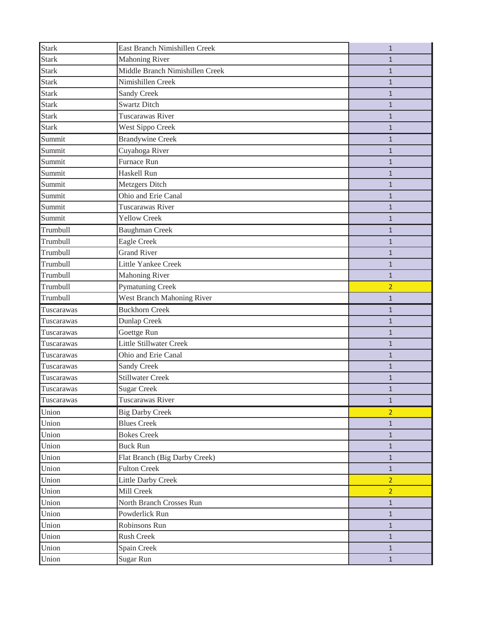| <b>Stark</b> | East Branch Nimishillen Creek   | $\mathbf{1}$   |
|--------------|---------------------------------|----------------|
| <b>Stark</b> | <b>Mahoning River</b>           | 1              |
| <b>Stark</b> | Middle Branch Nimishillen Creek | $\mathbf{1}$   |
| <b>Stark</b> | Nimishillen Creek               | $\mathbf{1}$   |
| <b>Stark</b> | <b>Sandy Creek</b>              | $\mathbf{1}$   |
| <b>Stark</b> | <b>Swartz Ditch</b>             | $\mathbf{1}$   |
| <b>Stark</b> | <b>Tuscarawas River</b>         | $\mathbf{1}$   |
| <b>Stark</b> | West Sippo Creek                | $\mathbf{1}$   |
| Summit       | <b>Brandywine Creek</b>         | $\mathbf{1}$   |
| Summit       | Cuyahoga River                  | $\mathbf{1}$   |
| Summit       | Furnace Run                     | $\mathbf{1}$   |
| Summit       | Haskell Run                     | $\mathbf{1}$   |
| Summit       | Metzgers Ditch                  | $\mathbf{1}$   |
| Summit       | Ohio and Erie Canal             | $\mathbf{1}$   |
| Summit       | Tuscarawas River                | $\mathbf{1}$   |
| Summit       | <b>Yellow Creek</b>             | $\mathbf{1}$   |
| Trumbull     | <b>Baughman Creek</b>           | $\mathbf{1}$   |
| Trumbull     | <b>Eagle Creek</b>              | $\overline{1}$ |
| Trumbull     | <b>Grand River</b>              | $\mathbf{1}$   |
| Trumbull     | Little Yankee Creek             | $\mathbf{1}$   |
| Trumbull     | <b>Mahoning River</b>           | $\mathbf{1}$   |
| Trumbull     | <b>Pymatuning Creek</b>         | $\overline{2}$ |
| Trumbull     | West Branch Mahoning River      | $\mathbf{1}$   |
| Tuscarawas   | <b>Buckhorn Creek</b>           | $\mathbf{1}$   |
| Tuscarawas   | Dunlap Creek                    | $\mathbf{1}$   |
| Tuscarawas   | Goettge Run                     | $\mathbf{1}$   |
| Tuscarawas   | <b>Little Stillwater Creek</b>  | $\mathbf{1}$   |
| Tuscarawas   | Ohio and Erie Canal             | $\mathbf{1}$   |
| Tuscarawas   | <b>Sandy Creek</b>              |                |
|              |                                 | 1              |
| Tuscarawas   | <b>Stillwater Creek</b>         | $\mathbf{1}$   |
| Tuscarawas   | <b>Sugar Creek</b>              | $\mathbf{1}$   |
| Tuscarawas   | Tuscarawas River                | $\mathbf{1}$   |
| Union        | <b>Big Darby Creek</b>          | $\overline{2}$ |
| Union        | <b>Blues Creek</b>              | $\mathbf{1}$   |
| Union        | <b>Bokes Creek</b>              | $\mathbf{1}$   |
| Union        | <b>Buck Run</b>                 | $\mathbf{1}$   |
| Union        | Flat Branch (Big Darby Creek)   | $\mathbf{1}$   |
| Union        | <b>Fulton Creek</b>             | $\mathbf{1}$   |
| Union        | <b>Little Darby Creek</b>       | $\overline{2}$ |
| Union        | Mill Creek                      | $\overline{2}$ |
| Union        | North Branch Crosses Run        | $\mathbf{1}$   |
| Union        | Powderlick Run                  | $\mathbf{1}$   |
| Union        | Robinsons Run                   | $\mathbf{1}$   |
| Union        | <b>Rush Creek</b>               | $\mathbf{1}$   |
| Union        | Spain Creek                     | $\mathbf{1}$   |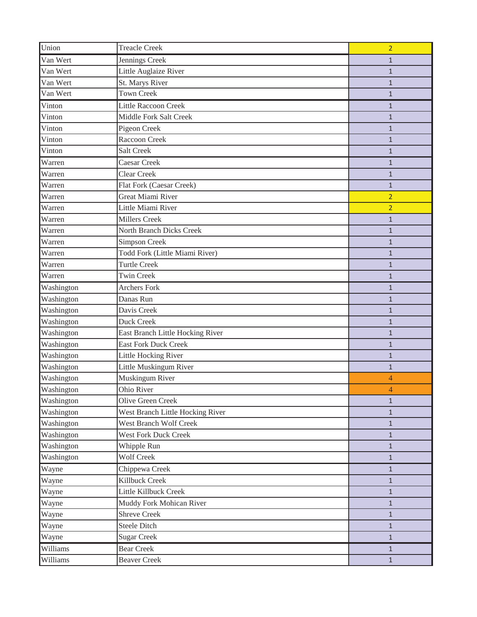| Union      | <b>Treacle Creek</b>             | $\overline{2}$ |
|------------|----------------------------------|----------------|
| Van Wert   | Jennings Creek                   | $\mathbf{1}$   |
| Van Wert   | Little Auglaize River            | $\mathbf{1}$   |
| Van Wert   | St. Marys River                  | $\mathbf{1}$   |
| Van Wert   | <b>Town Creek</b>                | $\mathbf{1}$   |
| Vinton     | <b>Little Raccoon Creek</b>      | $\mathbf{1}$   |
| Vinton     | Middle Fork Salt Creek           | $\mathbf{1}$   |
| Vinton     | Pigeon Creek                     | $\mathbf{1}$   |
| Vinton     | Raccoon Creek                    | $\mathbf{1}$   |
| Vinton     | <b>Salt Creek</b>                | $\mathbf{1}$   |
| Warren     | Caesar Creek                     | $\mathbf{1}$   |
| Warren     | Clear Creek                      | $\mathbf{1}$   |
| Warren     | Flat Fork (Caesar Creek)         | $\mathbf{1}$   |
| Warren     | <b>Great Miami River</b>         | $\overline{2}$ |
| Warren     | Little Miami River               | $\overline{2}$ |
| Warren     | <b>Millers Creek</b>             | $\mathbf{1}$   |
| Warren     | North Branch Dicks Creek         | $\mathbf{1}$   |
| Warren     | Simpson Creek                    | $\mathbf{1}$   |
| Warren     | Todd Fork (Little Miami River)   | 1              |
| Warren     | <b>Turtle Creek</b>              | $\mathbf{1}$   |
| Warren     | <b>Twin Creek</b>                | $\mathbf{1}$   |
| Washington | <b>Archers Fork</b>              | $\mathbf{1}$   |
| Washington | Danas Run                        | $\mathbf{1}$   |
| Washington | Davis Creek                      | $\mathbf{1}$   |
| Washington | Duck Creek                       | $\mathbf{1}$   |
| Washington | East Branch Little Hocking River | $\mathbf{1}$   |
| Washington | <b>East Fork Duck Creek</b>      | $\mathbf{1}$   |
| Washington | Little Hocking River             | $\mathbf{1}$   |
| Washington | Little Muskingum River           | $\mathbf{1}$   |
| Washington | Muskingum River                  | 4              |
| Washington | Ohio River                       | 4              |
| Washington | Olive Green Creek                | $\mathbf{1}$   |
| Washington | West Branch Little Hocking River | $\mathbf{1}$   |
| Washington | <b>West Branch Wolf Creek</b>    | $\mathbf{1}$   |
| Washington | <b>West Fork Duck Creek</b>      | $\mathbf{1}$   |
| Washington | Whipple Run                      | $\mathbf{1}$   |
| Washington | <b>Wolf Creek</b>                | $\mathbf{1}$   |
| Wayne      | Chippewa Creek                   | $\mathbf{1}$   |
| Wayne      | Killbuck Creek                   | $\mathbf{1}$   |
| Wayne      | Little Killbuck Creek            | $\mathbf{1}$   |
| Wayne      | Muddy Fork Mohican River         | $\mathbf{1}$   |
| Wayne      | <b>Shreve Creek</b>              | $\mathbf{1}$   |
| Wayne      | <b>Steele Ditch</b>              | $\mathbf{1}$   |
| Wayne      | <b>Sugar Creek</b>               | $\mathbf{1}$   |
| Williams   | <b>Bear Creek</b>                | $\mathbf{1}$   |
| Williams   | <b>Beaver Creek</b>              | $\mathbf{1}$   |